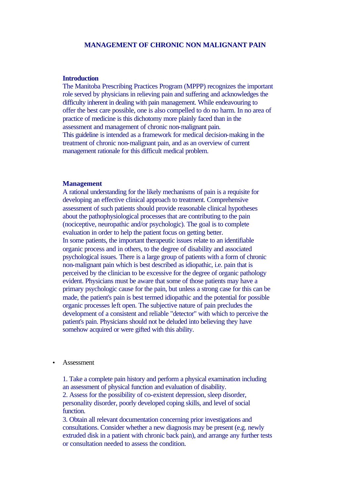## **MANAGEMENT OF CHRONIC NON MALIGNANT PAIN**

#### **Introduction**

The Manitoba Prescribing Practices Program (MPPP) recognizes the important role served by physicians in relieving pain and suffering and acknowledges the difficulty inherent in dealing with pain management. While endeavouring to offer the best care possible, one is also compelled to do no harm. In no area of practice of medicine is this dichotomy more plainly faced than in the assessment and management of chronic non-malignant pain. This guideline is intended as a framework for medical decision-making in the treatment of chronic non-malignant pain, and as an overview of current management rationale for this difficult medical problem.

### **Management**

A rational understanding for the likely mechanisms of pain is a requisite for developing an effective clinical approach to treatment. Comprehensive assessment of such patients should provide reasonable clinical hypotheses about the pathophysiological processes that are contributing to the pain (nociceptive, neuropathic and/or psychologic). The goal is to complete evaluation in order to help the patient focus on getting better. In some patients, the important therapeutic issues relate to an identifiable organic process and in others, to the degree of disability and associated psychological issues. There is a large group of patients with a form of chronic non-malignant pain which is best described as idiopathic, i.e. pain that is perceived by the clinician to be excessive for the degree of organic pathology evident. Physicians must be aware that some of those patients may have a primary psychologic cause for the pain, but unless a strong case for this can be made, the patient's pain is best termed idiopathic and the potential for possible organic processes left open. The subjective nature of pain precludes the development of a consistent and reliable "detector" with which to perceive the patient's pain. Physicians should not be deluded into believing they have somehow acquired or were gifted with this ability.

#### • Assessment

1. Take a complete pain history and perform a physical examination including an assessment of physical function and evaluation of disability. 2. Assess for the possibility of co-existent depression, sleep disorder, personality disorder, poorly developed coping skills, and level of social function.

3. Obtain all relevant documentation concerning prior investigations and consultations. Consider whether a new diagnosis may be present (e.g. newly extruded disk in a patient with chronic back pain), and arrange any further tests or consultation needed to assess the condition.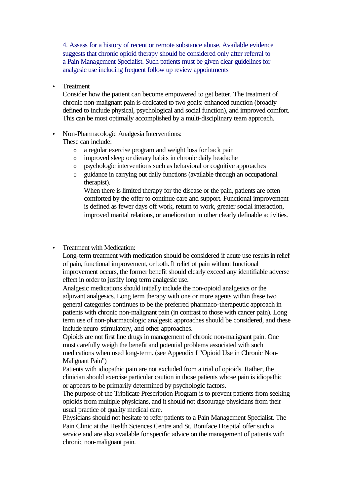4. Assess for a history of recent or remote substance abuse. Available evidence suggests that chronic opioid therapy should be considered only after referral to a Pain Management Specialist. Such patients must be given clear guidelines for analgesic use including frequent follow up review appointments

• Treatment

Consider how the patient can become empowered to get better. The treatment of chronic non-malignant pain is dedicated to two goals: enhanced function (broadly defined to include physical, psychological and social function), and improved comfort. This can be most optimally accomplished by a multi-disciplinary team approach.

• Non-Pharmacologic Analgesia Interventions:

These can include:

- o a regular exercise program and weight loss for back pain
- o improved sleep or dietary habits in chronic daily headache
- o psychologic interventions such as behavioral or cognitive approaches
- o guidance in carrying out daily functions (available through an occupational therapist).

When there is limited therapy for the disease or the pain, patients are often comforted by the offer to continue care and support. Functional improvement is defined as fewer days off work, return to work, greater social interaction, improved marital relations, or amelioration in other clearly definable activities.

• Treatment with Medication:

Long-term treatment with medication should be considered if acute use results in relief of pain, functional improvement, or both. If relief of pain without functional improvement occurs, the former benefit should clearly exceed any identifiable adverse effect in order to justify long term analgesic use.

Analgesic medications should initially include the non-opioid analgesics or the adjuvant analgesics. Long term therapy with one or more agents within these two general categories continues to be the preferred pharmaco-therapeutic approach in patients with chronic non-malignant pain (in contrast to those with cancer pain). Long term use of non-pharmacologic analgesic approaches should be considered, and these include neuro-stimulatory, and other approaches.

Opioids are not first line drugs in management of chronic non-malignant pain. One must carefully weigh the benefit and potential problems associated with such medications when used long-term. (see Appendix I "Opioid Use in Chronic Non-Malignant Pain")

Patients with idiopathic pain are not excluded from a trial of opioids. Rather, the clinician should exercise particular caution in those patients whose pain is idiopathic or appears to be primarily determined by psychologic factors.

The purpose of the Triplicate Prescription Program is to prevent patients from seeking opioids from multiple physicians, and it should not discourage physicians from their usual practice of quality medical care.

Physicians should not hesitate to refer patients to a Pain Management Specialist. The Pain Clinic at the Health Sciences Centre and St. Boniface Hospital offer such a service and are also available for specific advice on the management of patients with chronic non-malignant pain.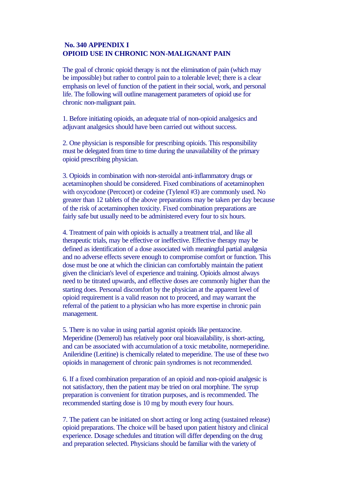# **No. 340 APPENDIX I OPIOID USE IN CHRONIC NON-MALIGNANT PAIN**

The goal of chronic opioid therapy is not the elimination of pain (which may be impossible) but rather to control pain to a tolerable level; there is a clear emphasis on level of function of the patient in their social, work, and personal life. The following will outline management parameters of opioid use for chronic non-malignant pain.

1. Before initiating opioids, an adequate trial of non-opioid analgesics and adjuvant analgesics should have been carried out without success.

2. One physician is responsible for prescribing opioids. This responsibility must be delegated from time to time during the unavailability of the primary opioid prescribing physician.

3. Opioids in combination with non-steroidal anti-inflammatory drugs or acetaminophen should be considered. Fixed combinations of acetaminophen with oxycodone (Percocet) or codeine (Tylenol #3) are commonly used. No greater than 12 tablets of the above preparations may be taken per day because of the risk of acetaminophen toxicity. Fixed combination preparations are fairly safe but usually need to be administered every four to six hours.

4. Treatment of pain with opioids is actually a treatment trial, and like all therapeutic trials, may be effective or ineffective. Effective therapy may be defined as identification of a dose associated with meaningful partial analgesia and no adverse effects severe enough to compromise comfort or function. This dose must be one at which the clinician can comfortably maintain the patient given the clinician's level of experience and training. Opioids almost always need to be titrated upwards, and effective doses are commonly higher than the starting does. Personal discomfort by the physician at the apparent level of opioid requirement is a valid reason not to proceed, and may warrant the referral of the patient to a physician who has more expertise in chronic pain management.

5. There is no value in using partial agonist opioids like pentazocine. Meperidine (Demerol) has relatively poor oral bioavailability, is short-acting, and can be associated with accumulation of a toxic metabolite, normeperidine. Anileridine (Leritine) is chemically related to meperidine. The use of these two opioids in management of chronic pain syndromes is not recommended.

6. If a fixed combination preparation of an opioid and non-opioid analgesic is not satisfactory, then the patient may be tried on oral morphine. The syrup preparation is convenient for titration purposes, and is recommended. The recommended starting dose is 10 mg by mouth every four hours.

7. The patient can be initiated on short acting or long acting (sustained release) opioid preparations. The choice will be based upon patient history and clinical experience. Dosage schedules and titration will differ depending on the drug and preparation selected. Physicians should be familiar with the variety of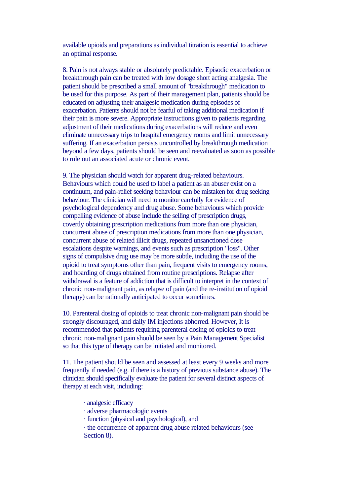available opioids and preparations as individual titration is essential to achieve an optimal response.

8. Pain is not always stable or absolutely predictable. Episodic exacerbation or breakthrough pain can be treated with low dosage short acting analgesia. The patient should be prescribed a small amount of "breakthrough" medication to be used for this purpose. As part of their management plan, patients should be educated on adjusting their analgesic medication during episodes of exacerbation. Patients should not be fearful of taking additional medication if their pain is more severe. Appropriate instructions given to patients regarding adjustment of their medications during exacerbations will reduce and even eliminate unnecessary trips to hospital emergency rooms and limit unnecessary suffering. If an exacerbation persists uncontrolled by breakthrough medication beyond a few days, patients should be seen and reevaluated as soon as possible to rule out an associated acute or chronic event.

9. The physician should watch for apparent drug-related behaviours. Behaviours which could be used to label a patient as an abuser exist on a continuum, and pain-relief seeking behaviour can be mistaken for drug seeking behaviour. The clinician will need to monitor carefully for evidence of psychological dependency and drug abuse. Some behaviours which provide compelling evidence of abuse include the selling of prescription drugs, covertly obtaining prescription medications from more than one physician, concurrent abuse of prescription medications from more than one physician, concurrent abuse of related illicit drugs, repeated unsanctioned dose escalations despite warnings, and events such as prescription "loss". Other signs of compulsive drug use may be more subtle, including the use of the opioid to treat symptoms other than pain, frequent visits to emergency rooms, and hoarding of drugs obtained from routine prescriptions. Relapse after withdrawal is a feature of addiction that is difficult to interpret in the context of chronic non-malignant pain, as relapse of pain (and the re-institution of opioid therapy) can be rationally anticipated to occur sometimes.

10. Parenteral dosing of opioids to treat chronic non-malignant pain should be strongly discouraged, and daily IM injections abhorred. However, It is recommended that patients requiring parenteral dosing of opioids to treat chronic non-malignant pain should be seen by a Pain Management Specialist so that this type of therapy can be initiated and monitored.

11. The patient should be seen and assessed at least every 9 weeks and more frequently if needed (e.g. if there is a history of previous substance abuse). The clinician should specifically evaluate the patient for several distinct aspects of therapy at each visit, including:

- · analgesic efficacy
- · adverse pharmacologic events
- · function (physical and psychological), and
- · the occurrence of apparent drug abuse related behaviours (see Section 8).